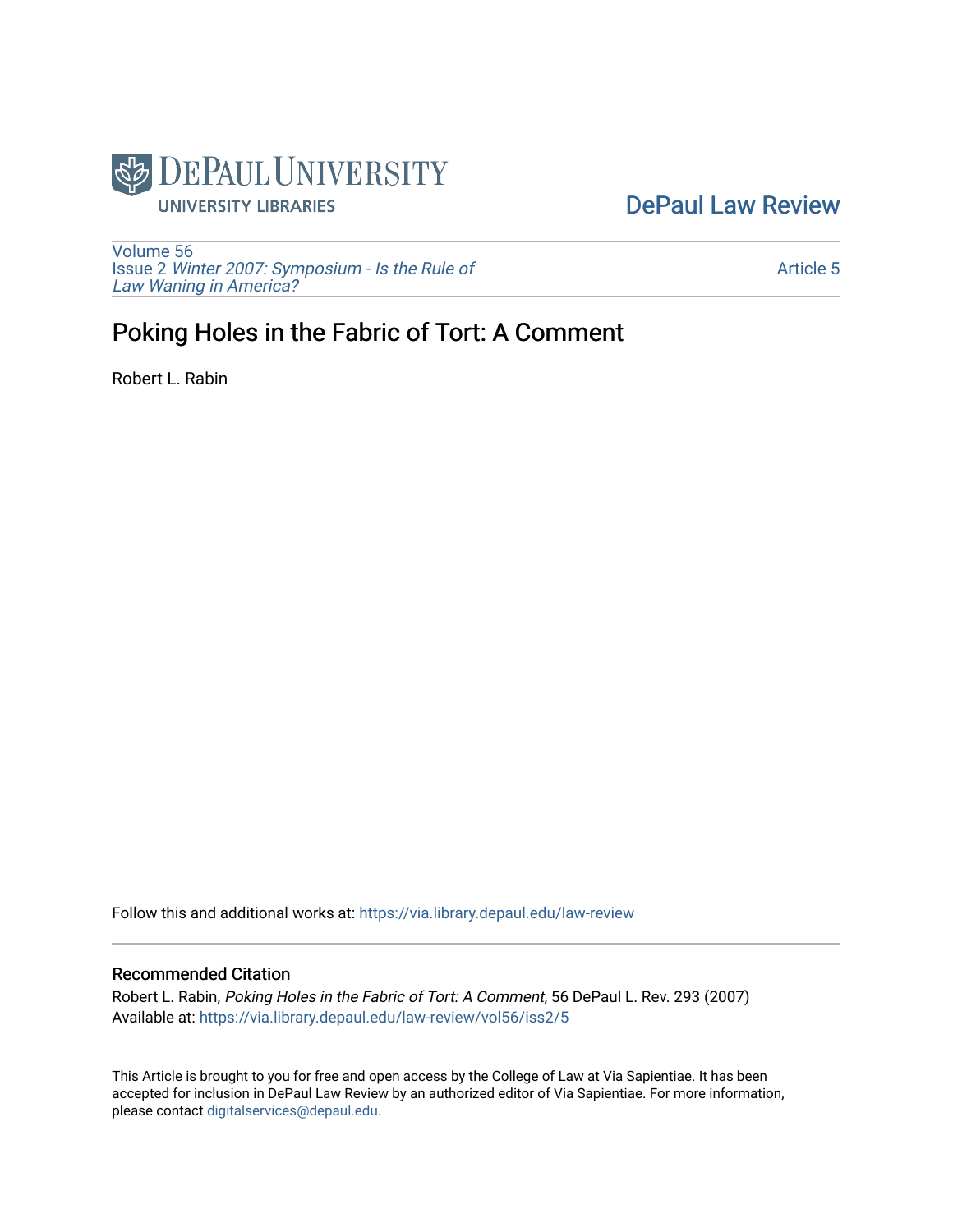

## [DePaul Law Review](https://via.library.depaul.edu/law-review)

[Volume 56](https://via.library.depaul.edu/law-review/vol56) Issue 2 [Winter 2007: Symposium - Is the Rule of](https://via.library.depaul.edu/law-review/vol56/iss2) [Law Waning in America?](https://via.library.depaul.edu/law-review/vol56/iss2) 

[Article 5](https://via.library.depaul.edu/law-review/vol56/iss2/5) 

# Poking Holes in the Fabric of Tort: A Comment

Robert L. Rabin

Follow this and additional works at: [https://via.library.depaul.edu/law-review](https://via.library.depaul.edu/law-review?utm_source=via.library.depaul.edu%2Flaw-review%2Fvol56%2Fiss2%2F5&utm_medium=PDF&utm_campaign=PDFCoverPages) 

#### Recommended Citation

Robert L. Rabin, Poking Holes in the Fabric of Tort: A Comment, 56 DePaul L. Rev. 293 (2007) Available at: [https://via.library.depaul.edu/law-review/vol56/iss2/5](https://via.library.depaul.edu/law-review/vol56/iss2/5?utm_source=via.library.depaul.edu%2Flaw-review%2Fvol56%2Fiss2%2F5&utm_medium=PDF&utm_campaign=PDFCoverPages) 

This Article is brought to you for free and open access by the College of Law at Via Sapientiae. It has been accepted for inclusion in DePaul Law Review by an authorized editor of Via Sapientiae. For more information, please contact [digitalservices@depaul.edu.](mailto:digitalservices@depaul.edu)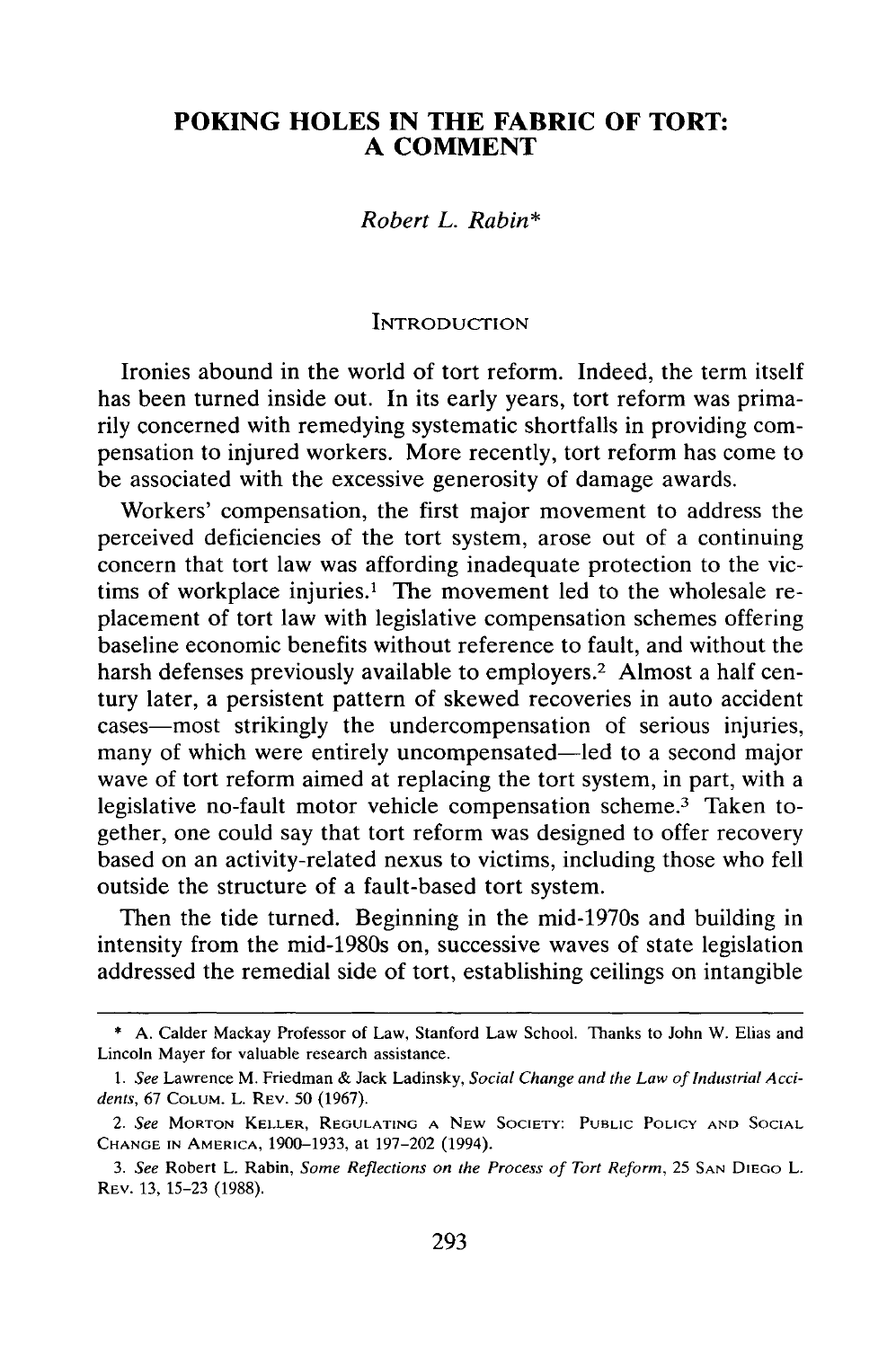## **POKING HOLES IN THE FABRIC OF TORT: A COMMENT**

#### *Robert L. Rabin\**

#### **INTRODUCTION**

Ironies abound in the world of tort reform. Indeed, the term itself has been turned inside out. In its early years, tort reform was primarily concerned with remedying systematic shortfalls in providing compensation to injured workers. More recently, tort reform has come to be associated with the excessive generosity of damage awards.

Workers' compensation, the first major movement to address the perceived deficiencies of the tort system, arose out of a continuing concern that tort law was affording inadequate protection to the victims of workplace injuries.' The movement led to the wholesale replacement of tort law with legislative compensation schemes offering baseline economic benefits without reference to fault, and without the harsh defenses previously available to employers.<sup>2</sup> Almost a half century later, a persistent pattern of skewed recoveries in auto accident cases—most strikingly the undercompensation of serious injuries, many of which were entirely uncompensated—led to a second major wave of tort reform aimed at replacing the tort system, in part, with a legislative no-fault motor vehicle compensation scheme.<sup>3</sup> Taken together, one could say that tort reform was designed to offer recovery based on an activity-related nexus to victims, including those who fell outside the structure of a fault-based tort system.

Then the tide turned. Beginning in the mid-1970s and building in intensity from the mid-1980s on, successive waves of state legislation addressed the remedial side of tort, establishing ceilings on intangible

<sup>\*</sup> A. Calder Mackay Professor of Law, Stanford Law School. Thanks to John W. Elias and Lincoln Mayer for valuable research assistance.

*<sup>1.</sup>* See Lawrence M. Friedman & Jack Ladinsky, Social Change *and the Law of Industrial A cci*dents, 67 **COLUM.** L. REV. 50 (1967).

*<sup>2.</sup>* See MORTON KELLER, **REGULATING A NEW SOCIETY:** PUBLIC POLICY **AND SOCIAL CHANGE IN** AMERICA, 1900-1933, at 197-202 (1994).

*<sup>3.</sup>* See Robert L. Rabin, Some Reflections on the Process of Tort Reform, 25 **SAN** DIEGO L. REV. 13, 15-23 (1988).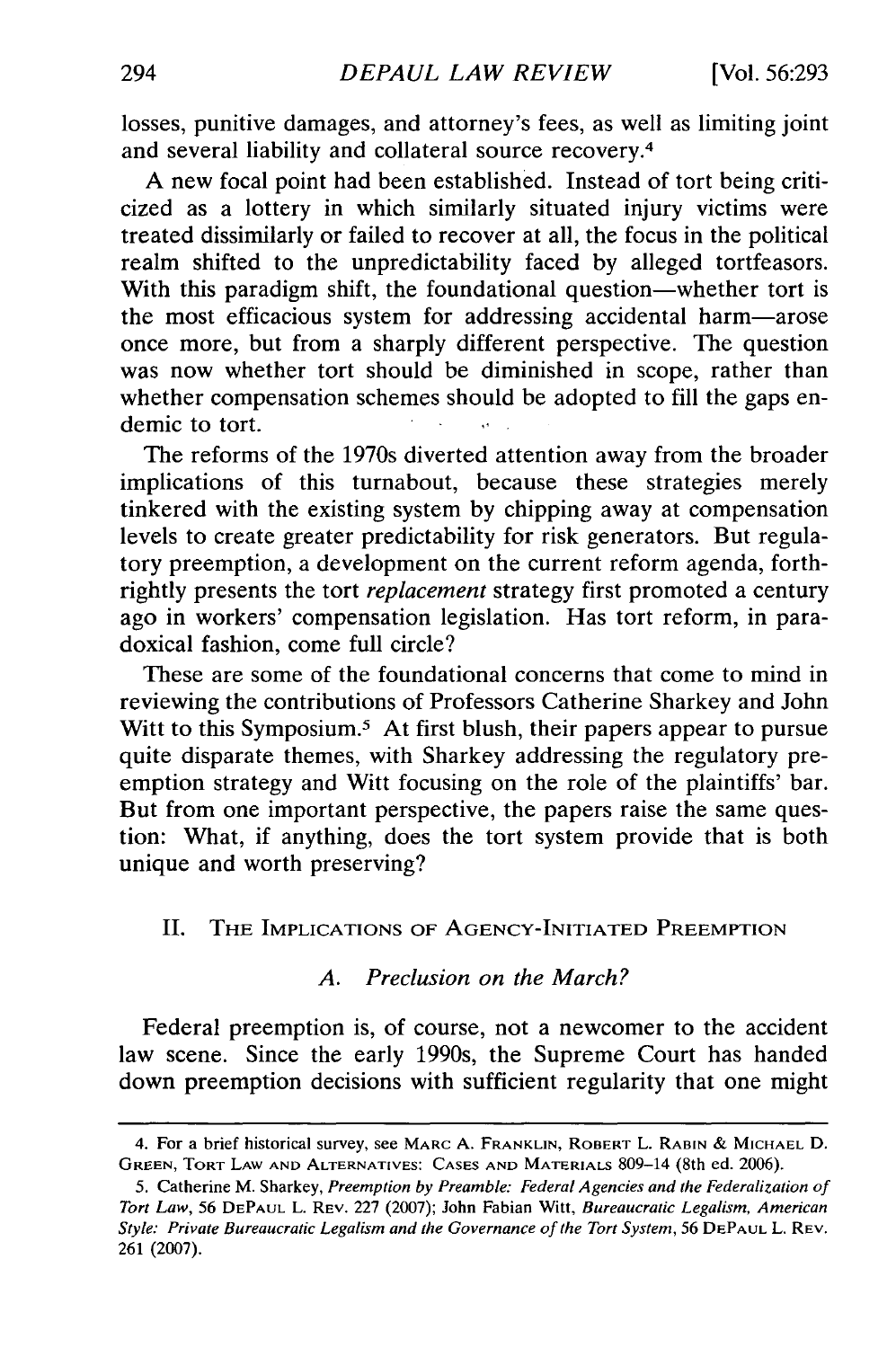losses, punitive damages, and attorney's fees, as well as limiting joint and several liability and collateral source recovery. <sup>4</sup>

A new focal point had been established. Instead of tort being criticized as a lottery in which similarly situated injury victims were treated dissimilarly or failed to recover at all, the focus in the political realm shifted to the unpredictability faced by alleged tortfeasors. With this paradigm shift, the foundational question—whether tort is the most efficacious system for addressing accidental harm-arose once more, but from a sharply different perspective. The question was now whether tort should be diminished in scope, rather than whether compensation schemes should be adopted to fill the gaps endemic to tort.

The reforms of the 1970s diverted attention away from the broader implications of this turnabout, because these strategies merely tinkered with the existing system by chipping away at compensation levels to create greater predictability for risk generators. But regulatory preemption, a development on the current reform agenda, forthrightly presents the tort *replacement* strategy first promoted a century ago in workers' compensation legislation. Has tort reform, in paradoxical fashion, come full circle?

These are some of the foundational concerns that come to mind in reviewing the contributions of Professors Catherine Sharkey and John Witt to this Symposium.<sup>5</sup> At first blush, their papers appear to pursue quite disparate themes, with Sharkey addressing the regulatory preemption strategy and Witt focusing on the role of the plaintiffs' bar. But from one important perspective, the papers raise the same question: What, if anything, does the tort system provide that is both unique and worth preserving?

### II. THE **IMPLICATIONS OF AGENCY-INITIATED** PREEMPTION

#### *A. Preclusion on the March?*

Federal preemption is, of course, not a newcomer to the accident law scene. Since the early 1990s, the Supreme Court has handed down preemption decisions with sufficient regularity that one might

<sup>4.</sup> For a brief historical survey, see MARC A. FRANKLIN, ROBERT L. RABIN **&** MICHAEL **D. GREEN,** TORT **LAW AND ALTERNATIVES: CASES AND MATERIALS** 809-14 (8th ed. 2006).

**<sup>5.</sup>** Catherine M. Sharkey, *Preemption by Preamble: Federal Agencies and the Federalization of Tort Law,* 56 **DEPAUL** L. **REV.** 227 (2007); John Fabian Witt, *Bureaucratic Legalism, American Style: Private Bureaucratic Legalism and the Governance of the Tort System,* 56 **DEPAUL** L. **REV.** 261 (2007).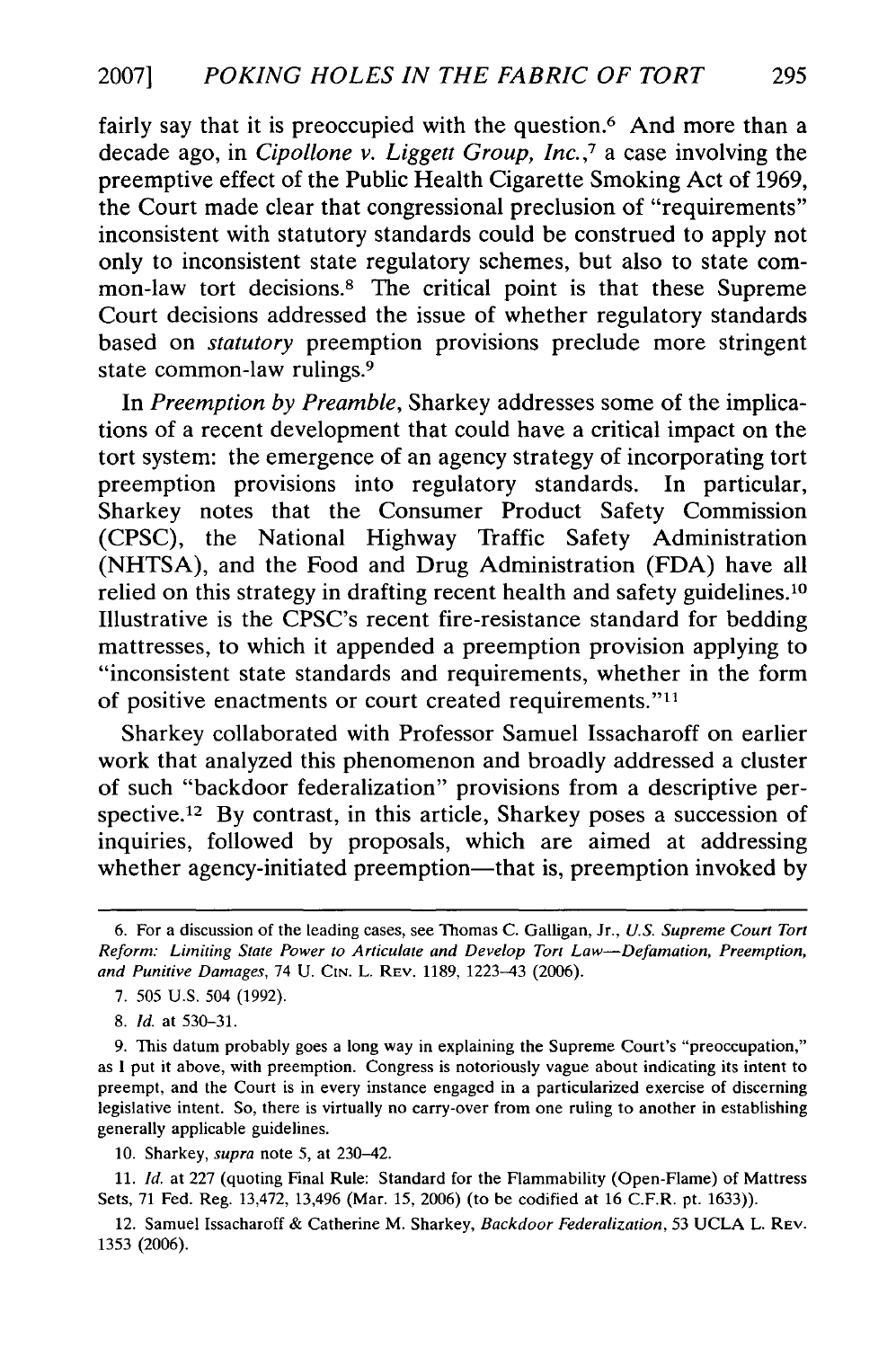fairly say that it is preoccupied with the question.<sup>6</sup> And more than a decade ago, in *Cipollone v. Liggett Group, Inc.,7* a case involving the preemptive effect of the Public Health Cigarette Smoking Act of 1969, the Court made clear that congressional preclusion of "requirements" inconsistent with statutory standards could be construed to apply not only to inconsistent state regulatory schemes, but also to state common-law tort decisions.8 The critical point is that these Supreme Court decisions addressed the issue of whether regulatory standards based on *statutory* preemption provisions preclude more stringent state common-law rulings.9

In *Preemption by Preamble,* Sharkey addresses some of the implications of a recent development that could have a critical impact on the tort system: the emergence of an agency strategy of incorporating tort preemption provisions into regulatory standards. In particular, Sharkey notes that the Consumer Product Safety Commission (CPSC), the National Highway Traffic Safety Administration (NHTSA), and the Food and Drug Administration (FDA) have all relied on this strategy in drafting recent health and safety guidelines. <sup>10</sup> Illustrative is the CPSC's recent fire-resistance standard for bedding mattresses, to which it appended a preemption provision applying to "inconsistent state standards and requirements, whether in the form of positive enactments or court created requirements."11

Sharkey collaborated with Professor Samuel Issacharoff on earlier work that analyzed this phenomenon and broadly addressed a cluster of such "backdoor federalization" provisions from a descriptive perspective.<sup>12</sup> By contrast, in this article, Sharkey poses a succession of inquiries, followed by proposals, which are aimed at addressing whether agency-initiated preemption—that is, preemption invoked by

10. Sharkey, *supra* note 5, at 230-42.

**11.** *Id.* at 227 (quoting Final Rule: Standard for the Flammability (Open-Flame) of Mattress Sets, 71 Fed. Reg. 13,472, 13,496 (Mar. 15, 2006) (to be codified at 16 C.F.R. pt. 1633)).

<sup>6.</sup> For a discussion of the leading cases, see Thomas C. Galligan, Jr., *U.S. Supreme Court Tort Reform: Limiting* State *Power to Articulate* and *Develop Tort Law-Defamation, Preemption,* and *Punitive* Damages, 74 U. CIN. L. REV. 1189, 1223-43 (2006).

<sup>7. 505</sup> U.S. 504 (1992).

<sup>8.</sup> *Id.* at 530-31.

<sup>9.</sup> This datum probably goes a long way in explaining the Supreme Court's "preoccupation," as **I** put it above, with preemption. Congress is notoriously vague about indicating its intent to preempt, and the Court is in every instance engaged in a particularized exercise of discerning legislative intent. So, there is virtually no carry-over from one ruling to another in establishing generally applicable guidelines.

<sup>12.</sup> Samuel Issacharoff & Catherine M. Sharkey, *Backdoor Federalization,* 53 UCLA L. REV. 1353 (2006).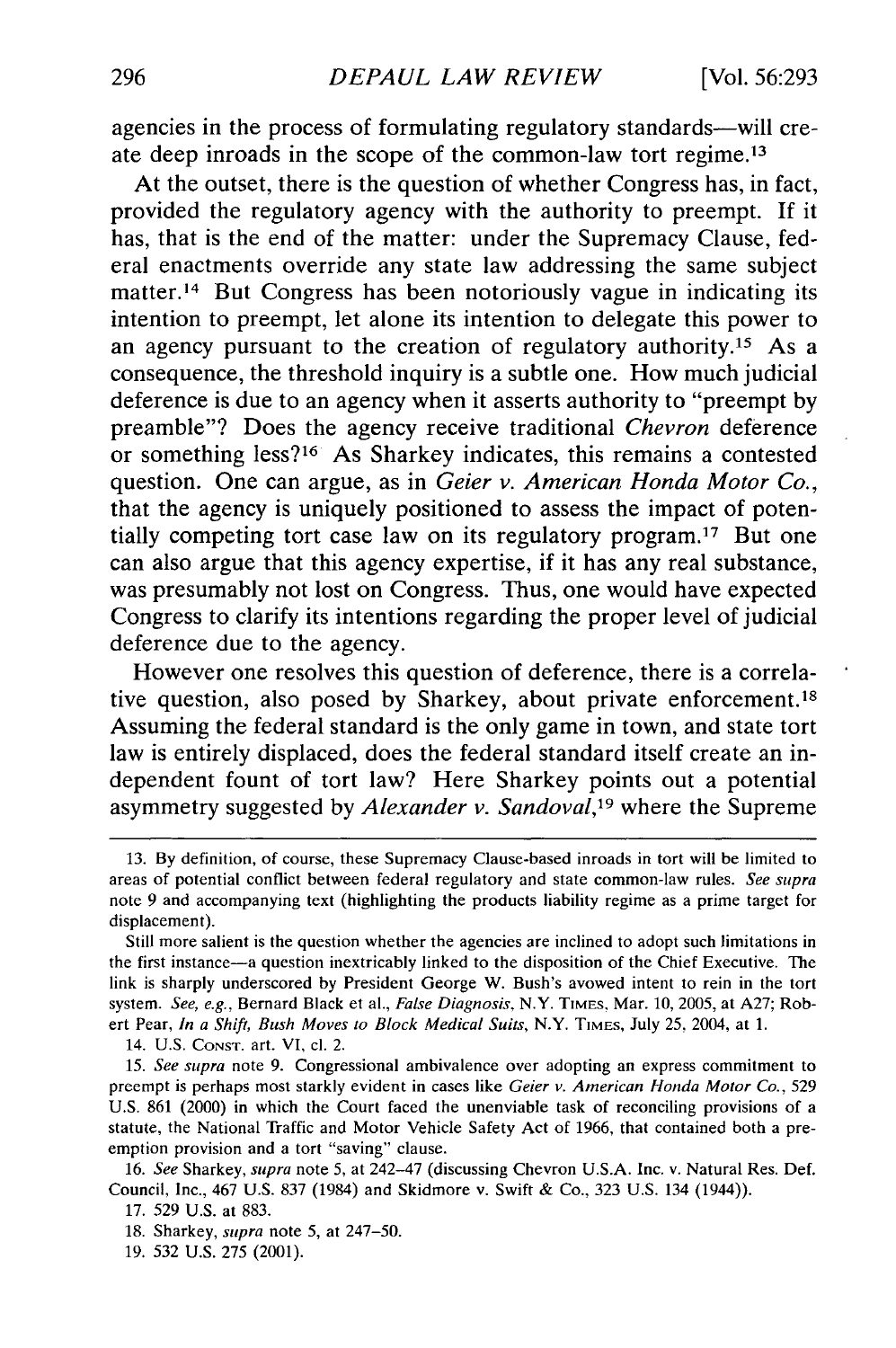agencies in the process of formulating regulatory standards—will create deep inroads in the scope of the common-law tort regime.<sup>13</sup>

At the outset, there is the question of whether Congress has, in fact, provided the regulatory agency with the authority to preempt. **If** it has, that is the end of the matter: under the Supremacy Clause, federal enactments override any state law addressing the same subject matter.<sup>14</sup> But Congress has been notoriously vague in indicating its intention to preempt, let alone its intention to delegate this power to an agency pursuant to the creation of regulatory authority.<sup>15</sup> As a consequence, the threshold inquiry is a subtle one. How much judicial deference is due to an agency when it asserts authority to "preempt **by** preamble"? Does the agency receive traditional *Chevron* deference or something less?<sup>16</sup> As Sharkey indicates, this remains a contested question. One can argue, as in *Geier v. American Honda Motor Co.,* that the agency is uniquely positioned to assess the impact of potentially competing tort case law on its regulatory program. 17 But one can also argue that this agency expertise, if it has any real substance, was presumably not lost on Congress. Thus, one would have expected Congress to clarify its intentions regarding the proper level of judicial deference due to the agency.

However one resolves this question of deference, there is a correlative question, also posed by Sharkey, about private enforcement.<sup>18</sup> Assuming the federal standard is the only game in town, and state tort law is entirely displaced, does the federal standard itself create an independent fount of tort law? Here Sharkey points out a potential asymmetry suggested by *Alexander v. Sandoval,19* where the Supreme

14. U.S. **CONST.** art. VI, cl. 2.

15. *See supra* note 9. Congressional ambivalence over adopting an express commitment to preempt is perhaps most starkly evident in cases like *Geier v. American Honda Motor Co.,* 529 U.S. 861 (2000) in which the Court faced the unenviable task of reconciling provisions of a statute, the National Traffic and Motor Vehicle Safety Act of **1966,** that contained both a preemption provision and a tort "saving" clause.

16. *See* Sharkey, *supra* note **5,** at 242-47 (discussing Chevron U.S.A. Inc. v. Natural Res. Def. Council, Inc., 467 U.S. 837 (1984) and Skidmore v. Swift & Co., 323 U.S. 134 (1944)).

- 18. Sharkey, *supra* note 5, at 247-50.
- 19. 532 U.S. 275 (2001).

<sup>13.</sup> By definition, of course, these Supremacy Clause-based inroads in tort will be limited to areas of potential conflict between federal regulatory and state common-law rules. *See supra* note **9** and accompanying text (highlighting the products liability regime as a prime target for displacement).

Still more salient is the question whether the agencies are inclined to adopt such limitations in the first instance-a question inextricably linked to the disposition of the Chief Executive. The link is sharply underscored **by** President George W. Bush's avowed intent to rein in the tort system. *See, e.g.,* Bernard Black et al., *False Diagnosis,* N.Y. TIMES, Mar. 10, 2005, at A27; Robert Pear, *In a Shift, Bush Moves to Block Medical Suits,* N.Y. TIMES, July **25,** 2004, at 1.

<sup>17. 529</sup> U.S. at 883.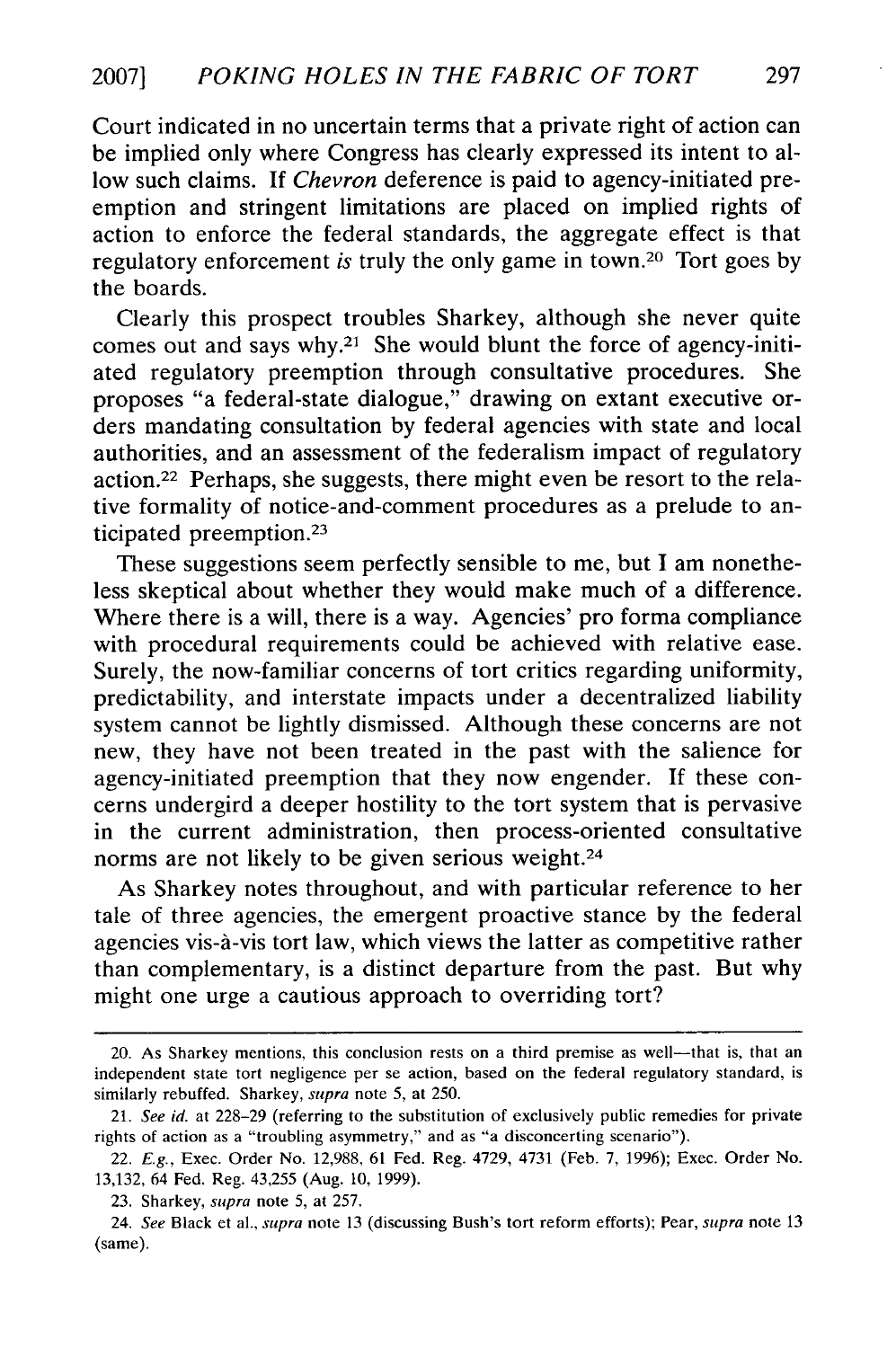Court indicated in no uncertain terms that a private right of action can be implied only where Congress has clearly expressed its intent to allow such claims. If *Chevron* deference is paid to agency-initiated preemption and stringent limitations are placed on implied rights of action to enforce the federal standards, the aggregate effect is that regulatory enforcement *is* truly the only game in town.20 Tort goes by the boards.

Clearly this prospect troubles Sharkey, although she never quite comes out and says why.<sup>21</sup> She would blunt the force of agency-initiated regulatory preemption through consultative procedures. She proposes "a federal-state dialogue," drawing on extant executive orders mandating consultation by federal agencies with state and local authorities, and an assessment of the federalism impact of regulatory action.22 Perhaps, she suggests, there might even be resort to the relative formality of notice-and-comment procedures as a prelude to anticipated preemption.<sup>23</sup>

These suggestions seem perfectly sensible to me, but I am nonetheless skeptical about whether they would make much of a difference. Where there is a will, there is a way. Agencies' pro forma compliance with procedural requirements could be achieved with relative ease. Surely, the now-familiar concerns of tort critics regarding uniformity, predictability, and interstate impacts under a decentralized liability system cannot be lightly dismissed. Although these concerns are not new, they have not been treated in the past with the salience for agency-initiated preemption that they now engender. If these concerns undergird a deeper hostility to the tort system that is pervasive in the current administration, then process-oriented consultative norms are not likely to be given serious weight.<sup>24</sup>

As Sharkey notes throughout, and with particular reference to her tale of three agencies, the emergent proactive stance by the federal agencies vis-à-vis tort law, which views the latter as competitive rather than complementary, is a distinct departure from the past. But why might one urge a cautious approach to overriding tort?

<sup>20.</sup> As Sharkey mentions, this conclusion rests on a third premise as well—that is, that an independent state tort negligence per se action, based on the federal regulatory standard, is similarly rebuffed. Sharkey, *supra* note 5, at 250.

<sup>21.</sup> *See id.* at 228-29 (referring to the substitution of exclusively public remedies for private rights of action as a "troubling asymmetry," and as "a disconcerting scenario").

<sup>22.</sup> *E.g.,* Exec. Order No. 12,988, 61 Fed. Reg. 4729, 4731 (Feb. 7, 1996); Exec. Order No. 13,132, 64 Fed. Reg. 43,255 (Aug. 10, 1999).

<sup>23.</sup> Sharkey, *supra* note 5, at 257.

<sup>24.</sup> *See* Black et al., *supra* note 13 (discussing Bush's tort reform efforts); Pear, *supra* note 13 (same).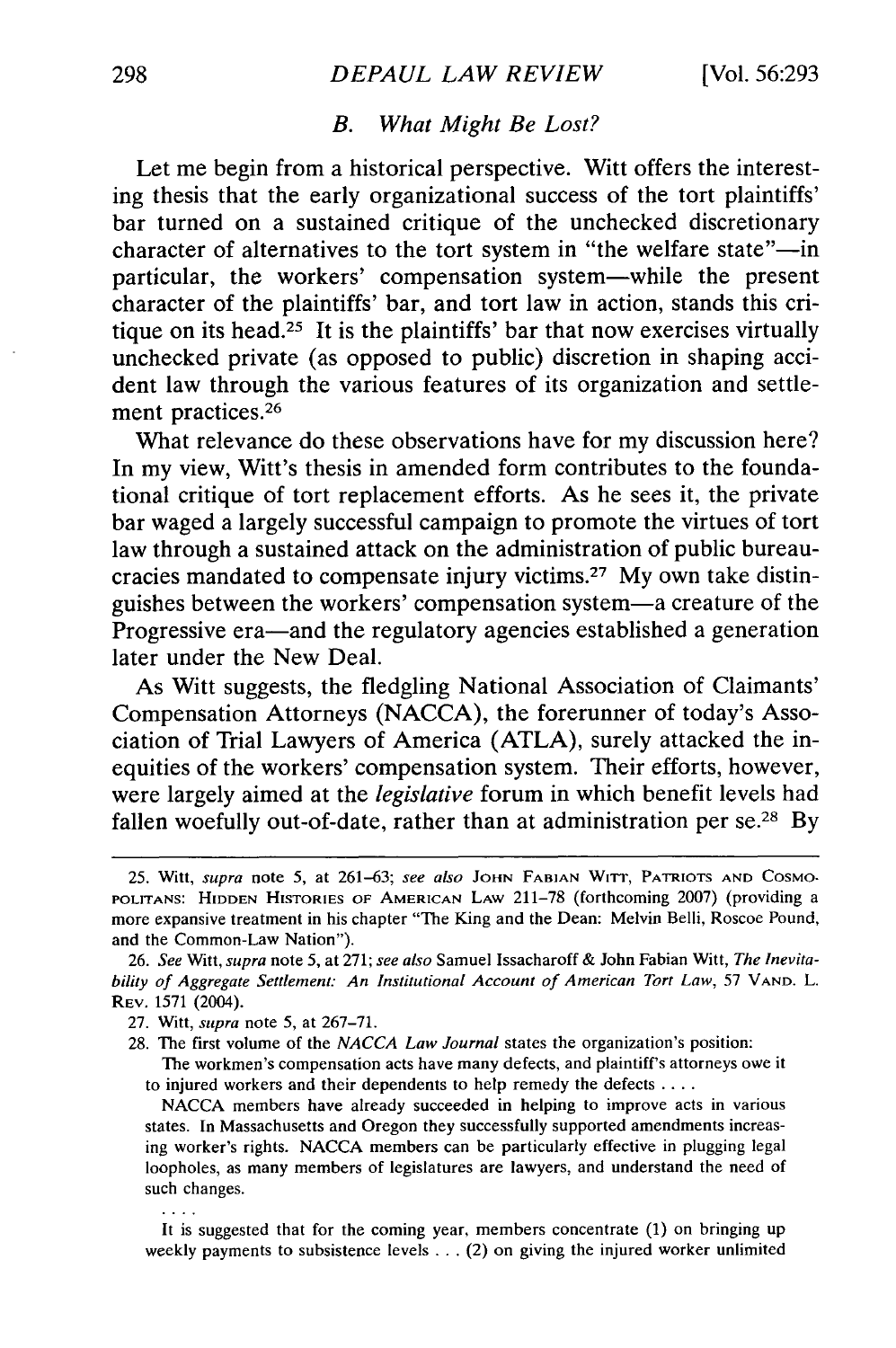## *B. What Might Be Lost?*

Let me begin from a historical perspective. Witt offers the interesting thesis that the early organizational success of the tort plaintiffs' bar turned on a sustained critique of the unchecked discretionary character of alternatives to the tort system in "the welfare state"-in particular, the workers' compensation system-while the present character of the plaintiffs' bar, and tort law in action, stands this critique on its head.<sup>25</sup> It is the plaintiffs' bar that now exercises virtually unchecked private (as opposed to public) discretion in shaping accident law through the various features of its organization and settlement practices.<sup>26</sup>

What relevance do these observations have for my discussion here? In my view, Witt's thesis in amended form contributes to the foundational critique of tort replacement efforts. As he sees it, the private bar waged a largely successful campaign to promote the virtues of tort law through a sustained attack on the administration of public bureaucracies mandated to compensate injury victims. 27 My own take distinguishes between the workers' compensation system-a creature of the Progressive era-and the regulatory agencies established a generation later under the New Deal.

As Witt suggests, the fledgling National Association of Claimants' Compensation Attorneys (NACCA), the forerunner of today's Association of Trial Lawyers of America (ATLA), surely attacked the inequities of the workers' compensation system. Their efforts, however, were largely aimed at the *legislative* forum in which benefit levels had fallen woefully out-of-date, rather than at administration per  $se^{28}$  By

 $\cdots$ 

The workmen's compensation acts have many defects, and plaintiff's attorneys owe it to injured workers and their dependents to help remedy the defects **....**

NACCA members have already succeeded in helping to improve acts in various states. In Massachusetts and Oregon they successfully supported amendments increasing worker's rights. NACCA members can be particularly effective in plugging legal loopholes, as many members of legislatures are lawyers, and understand the need of such changes.

It is suggested that for the coming year, members concentrate (1) on bringing up weekly payments to subsistence levels . . . (2) on giving the injured worker unlimited

<sup>25.</sup> Witt, *supra* note 5, at 261-63; *see also* JOHN FABIAN WITT, PATRIOTS AND COSMO-**POLITANS: HIDDEN HISTORIES** OF **AMERICAN** LAW 211-78 (forthcoming 2007) (providing a more expansive treatment in his chapter "The King and the Dean: Melvin Belli, Roscoe Pound, and the Common-Law Nation").

<sup>26.</sup> *See* Witt, *supra* note 5, at 271; *see also* Samuel Issacharoff & John Fabian Witt, *The Inevita*bility of Aggregate Settlement: An Institutional Account of American Tort Law, 57 VAND. L. REV. 1571 (2004).

<sup>27.</sup> Witt, *supra* note 5, at 267-71.

<sup>28.</sup> The first volume of the *NACCA Law Journal* states the organization's position: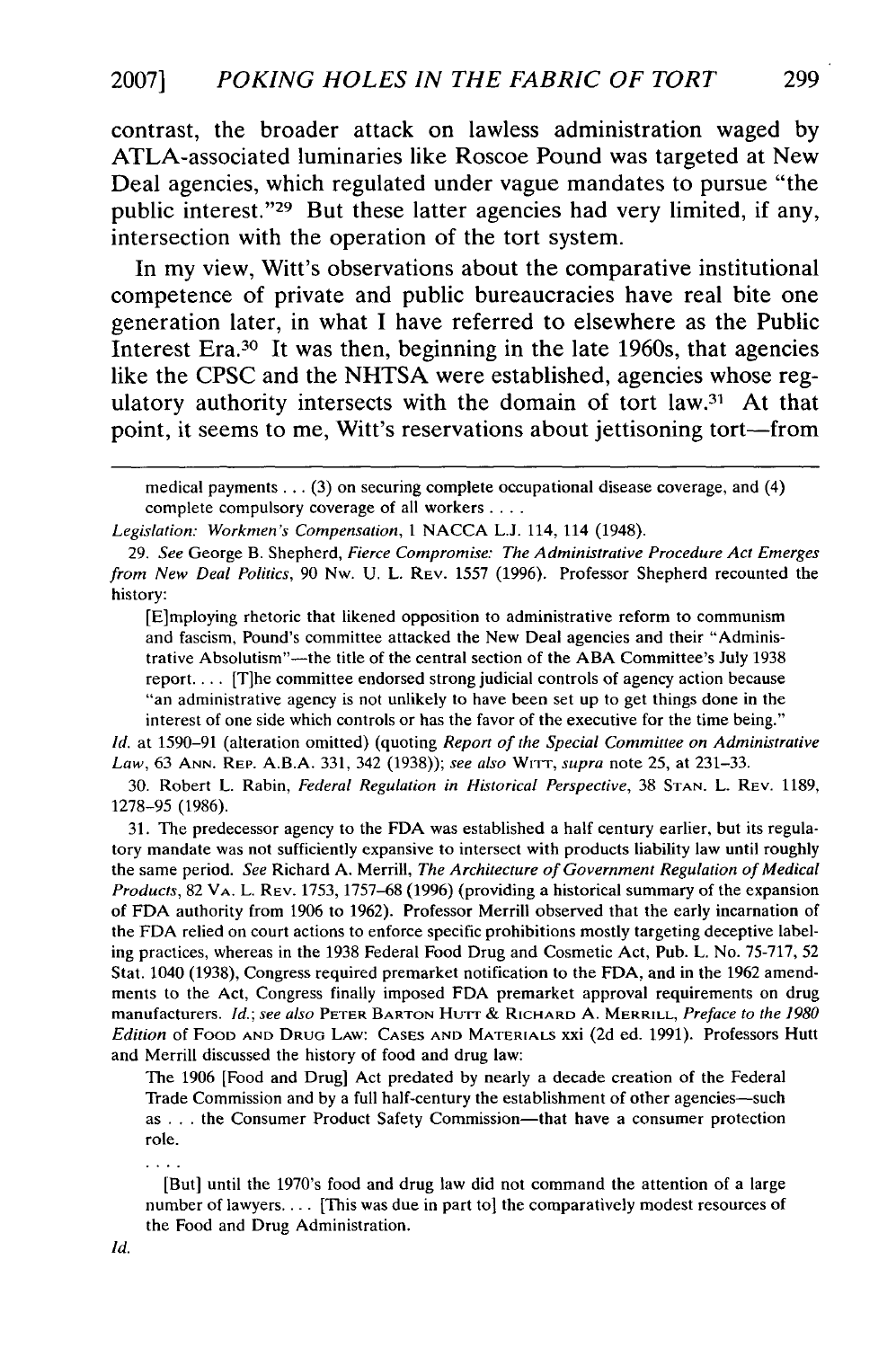contrast, the broader attack on lawless administration waged **by** ATLA-associated luminaries like Roscoe Pound was targeted at New Deal agencies, which regulated under vague mandates to pursue "the public interest."<sup>29</sup> But these latter agencies had very limited, if any, intersection with the operation of the tort system.

In my view, Witt's observations about the comparative institutional competence of private and public bureaucracies have real bite one generation later, in what **I** have referred to elsewhere as the Public Interest Era.30 It was then, beginning in the late 1960s, that agencies like the **CPSC** and the **NHTSA** were established, agencies whose regulatory authority intersects with the domain of tort law.31 At that point, it seems to me, Witt's reservations about jettisoning tort-from

medical payments ... (3) on securing complete occupational disease coverage, and (4) complete compulsory coverage of all workers **....**

29. *See* George B. Shepherd, *Fierce Compromise: The Administrative Procedure Act Emerges from New Deal Politics,* 90 Nw. U. L. REV. 1557 (1996). Professor Shepherd recounted the history:

[E]mploying rhetoric that likened opposition to administrative reform to communism and fascism, Pound's committee attacked the New Deal agencies and their "Administrative Absolutism"-the title of the central section of the ABA Committee's July 1938 report.... [Tihe committee endorsed strong judicial controls of agency action because "an administrative agency is not unlikely to have been set up to get things done in the interest of one side which controls or has the favor of the executive for the time being."

**Id.** at 1590-91 (alteration omitted) (quoting *Report of the Special Committee on Administrative Law,* 63 **ANN.** REP. A.B.A. 331, 342 (1938)); *see also* WrrT-, *supra* note 25, at 231-33.

30. Robert L. Rabin, *Federal Regulation in Historical Perspective,* 38 **STAN.** L. REV. 1189, 1278-95 (1986).

31. The predecessor agency to the FDA was established a half century earlier, but its regulatory mandate was not sufficiently expansive to intersect with products liability law until roughly the same period. *See* Richard A. Merrill, *The Architecture of Government Regulation of Medical Products,* 82 VA. L. REV. 1753, 1757-68 (1996) (providing a historical summary of the expansion of FDA authority from 1906 to 1962). Professor Merrill observed that the early incarnation of the FDA relied on court actions to enforce specific prohibitions mostly targeting deceptive labeling practices, whereas in the 1938 Federal Food Drug and Cosmetic Act, Pub. L. No. 75-717, 52 Stat. 1040 (1938), Congress required premarket notification to the FDA, and in the 1962 amendments to the Act, Congress finally imposed FDA premarket approval requirements on drug manufacturers. *Id.; see also* **PETER** BARTON Hu'rr & RICHARD A. MERRILL, *Preface to the 1980 Edition* of FOOD **AND** DRUG LAW: **CASES AND** MATERIALS xxi (2d ed. 1991). Professors Hutt and Merrill discussed the history of food and drug law:

The 1906 [Food and Drug] Act predated by nearly a decade creation of the Federal Trade Commission and by a full half-century the establishment of other agencies--such as . . . the Consumer Product Safety Commission-that have a consumer protection role.

[But] until the 1970's food and drug law did not command the attention of a large number of lawyers.... [This was due in part to] the comparatively modest resources of the Food and Drug Administration.

 $\cdots$ 

*Legislation: Workmen's Compensation, I* NACCA L.J. 114, 114 (1948).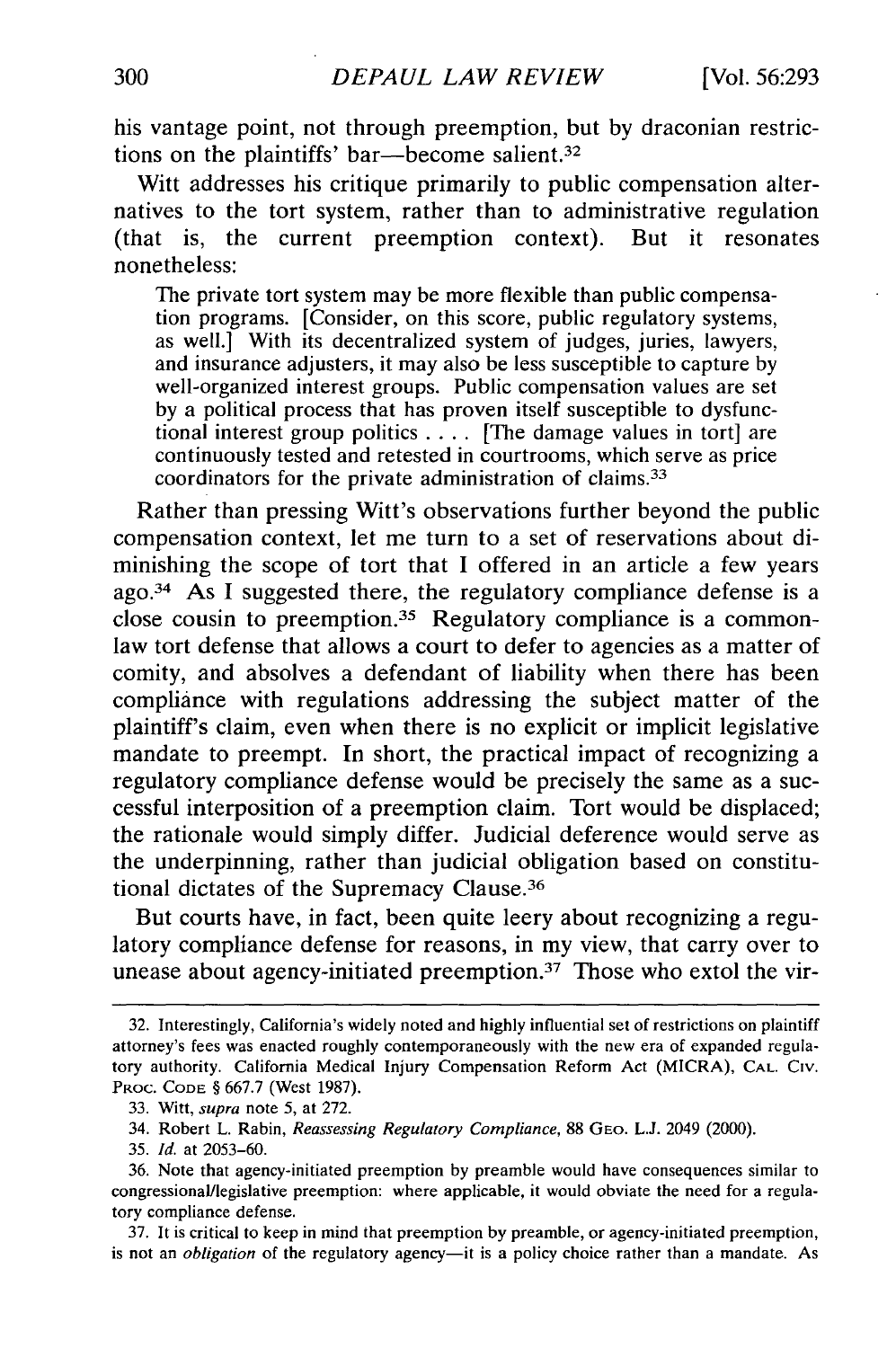his vantage point, not through preemption, but by draconian restrictions on the plaintiffs' bar—become salient.<sup>32</sup>

Witt addresses his critique primarily to public compensation alternatives to the tort system, rather than to administrative regulation (that is, the current preemption context). But it resonates nonetheless:

The private tort system may be more flexible than public compensation programs. [Consider, on this score, public regulatory systems, as well.] With its decentralized system of judges, juries, lawyers, and insurance adjusters, it may also be less susceptible to capture by well-organized interest groups. Public compensation values are set by a political process that has proven itself susceptible to dysfunctional interest group politics .... [The damage values in tort] are continuously tested and retested in courtrooms, which serve as price coordinators for the private administration of claims. <sup>33</sup>

Rather than pressing Witt's observations further beyond the public compensation context, let me turn to a set of reservations about diminishing the scope of tort that I offered in an article a few years ago.34 As I suggested there, the regulatory compliance defense is a close cousin to preemption.<sup>35</sup> Regulatory compliance is a commonlaw tort defense that allows a court to defer to agencies as a matter of comity, and absolves a defendant of liability when there has been compliance with regulations addressing the subject matter of the plaintiff's claim, even when there is no explicit or implicit legislative mandate to preempt. In short, the practical impact of recognizing a regulatory compliance defense would be precisely the same as a successful interposition of a preemption claim. Tort would be displaced; the rationale would simply differ. Judicial deference would serve as the underpinning, rather than judicial obligation based on constitutional dictates of the Supremacy Clause. <sup>36</sup>

But courts have, in fact, been quite leery about recognizing a regulatory compliance defense for reasons, in my view, that carry over to unease about agency-initiated preemption.<sup>37</sup> Those who extol the vir-

37. It is critical to keep in mind that preemption by preamble, or agency-initiated preemption, is not an *obligation* of the regulatory agency—it is a policy choice rather than a mandate. As

<sup>32.</sup> Interestingly, California's widely noted and highly influential set of restrictions on plaintiff attorney's fees was enacted roughly contemporaneously with the new era of expanded regulatory authority. California Medical Injury Compensation Reform Act (MICRA), **CAL.** CiV. PROC. **CODE** § 667.7 (West 1987).

<sup>33.</sup> Witt, *supra* note 5, at 272.

<sup>34.</sup> Robert L. Rabin, *Reassessing Regulatory Compliance,* 88 GEO. L.J. 2049 (2000).

<sup>35.</sup> *Id.* at 2053-60.

<sup>36.</sup> Note that agency-initiated preemption by preamble would have consequences similar to congressional/legislative preemption: where applicable, it would obviate the need for a regulatory compliance defense.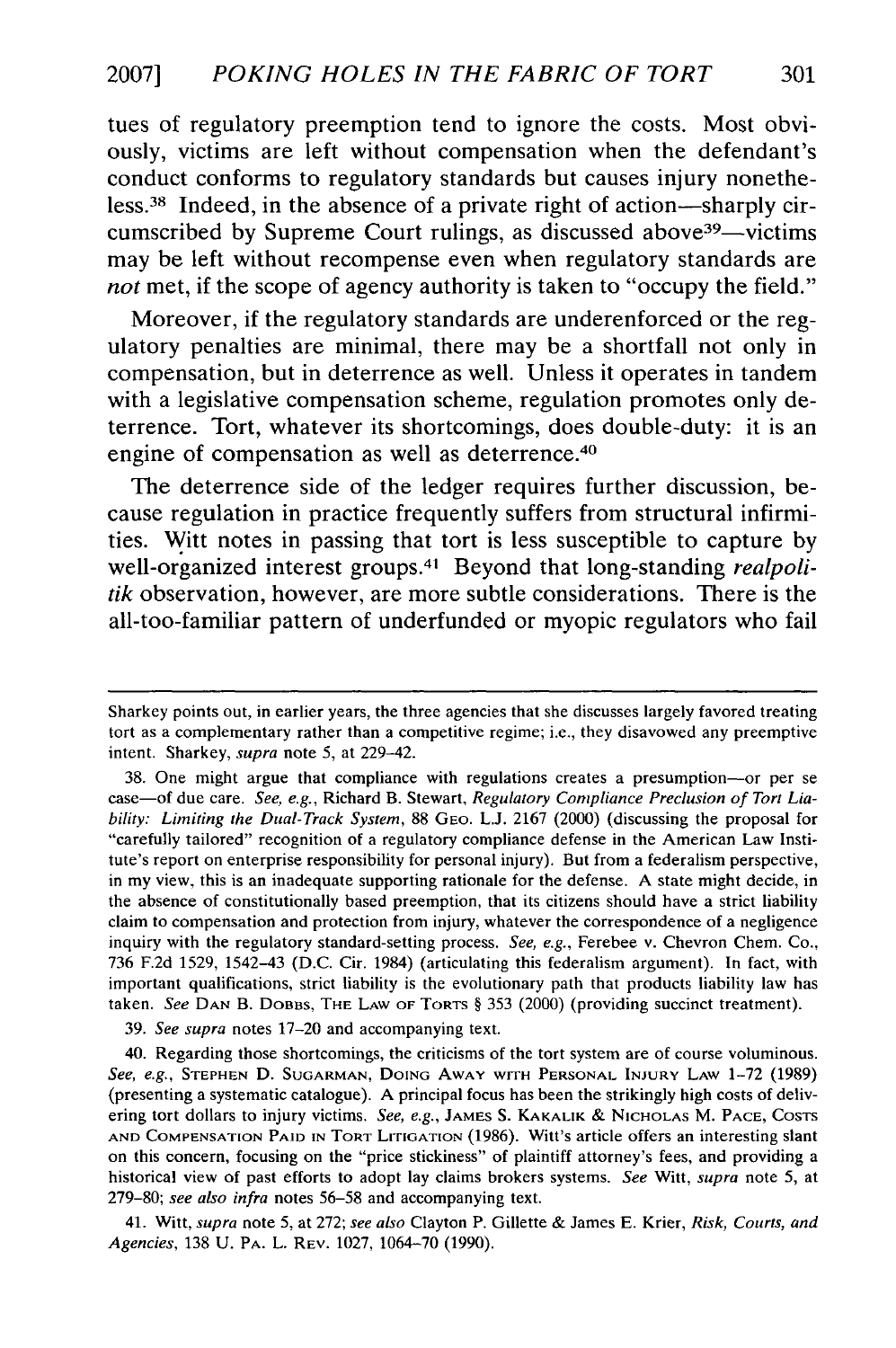tues of regulatory preemption tend to ignore the costs. Most obviously, victims are left without compensation when the defendant's conduct conforms to regulatory standards but causes injury nonetheless.38 Indeed, in the absence of a private right of action-sharply circumscribed by Supreme Court rulings, as discussed above<sup>39</sup>—victims may be left without recompense even when regulatory standards are *not* met, if the scope of agency authority is taken to "occupy the field."

Moreover, if the regulatory standards are underenforced or the regulatory penalties are minimal, there may be a shortfall not only in compensation, but in deterrence as well. Unless it operates in tandem with a legislative compensation scheme, regulation promotes only deterrence. Tort, whatever its shortcomings, does double-duty: it is an engine of compensation as well as deterrence.<sup>40</sup>

The deterrence side of the ledger requires further discussion, because regulation in practice frequently suffers from structural infirmities. Witt notes in passing that tort is less susceptible to capture **by** well-organized interest groups.4' Beyond that long-standing *realpolitik* observation, however, are more subtle considerations. There is the all-too-familiar pattern of underfunded or myopic regulators who fail

39. *See supra* notes 17-20 and accompanying text.

40. Regarding those shortcomings, the criticisms of the tort system are of course voluminous. See, *e.g.,* **STEPHEN D. SUGARMAN,** DOING AWAY WITH **PERSONAL INJURY** LAW 1-72 (1989) (presenting a systematic catalogue). A principal focus has been the strikingly high costs of delivering tort dollars to injury victims. *See, e.g.,* **JAMES S.** KAKALIK & **NICHOLAS** M. **PACE,** COSTS **AND** COMPENSATION **PAID IN** TORT LITIGATION (1986). Witt's article offers an interesting slant on this concern, focusing on the "price stickiness" of plaintiff attorney's fees, and providing a historical view of past efforts to adopt lay claims brokers systems. *See* Witt, *supra* note 5, at 279-80; *see also infra* notes 56-58 and accompanying text.

41. Witt, *supra* note 5, at 272; *see also* Clayton P. Gillette & James E. Krier, *Risk, Courts, and Agencies,* 138 U. PA. L. REV. 1027, 1064-70 (1990).

Sharkey points out, in earlier years, the three agencies that she discusses largely favored treating tort as a complementary rather than a competitive regime; i.e., they disavowed any preemptive intent. Sharkey, supra note 5, at 229-42.

<sup>38.</sup> One might argue that compliance with regulations creates a presumption-or per se case-of due care. *See, e.g.,* Richard B. Stewart, *Regulatory Compliance Preclusion of Tort Liability: Limiting the Dual-Track System,* 88 GEO. L.J. 2167 (2000) (discussing the proposal for "carefully tailored" recognition of a regulatory compliance defense in the American Law Institute's report on enterprise responsibility for personal injury). But from a federalism perspective, in my view, this is an inadequate supporting rationale for the defense. A state might decide, in the absence of constitutionally based preemption, that its citizens should have a strict liability claim to compensation and protection from injury, whatever the correspondence of a negligence inquiry with the regulatory standard-setting process. *See, e.g.,* Ferebee v. Chevron Chem. Co., 736 F.2d 1529, 1542-43 (D.C. Cir. 1984) (articulating this federalism argument). In fact, with important qualifications, strict liability is the evolutionary path that products liability law has taken. *See* **DAN** B. DOBBS, THE LAW **OF** TORTS § 353 (2000) (providing succinct treatment).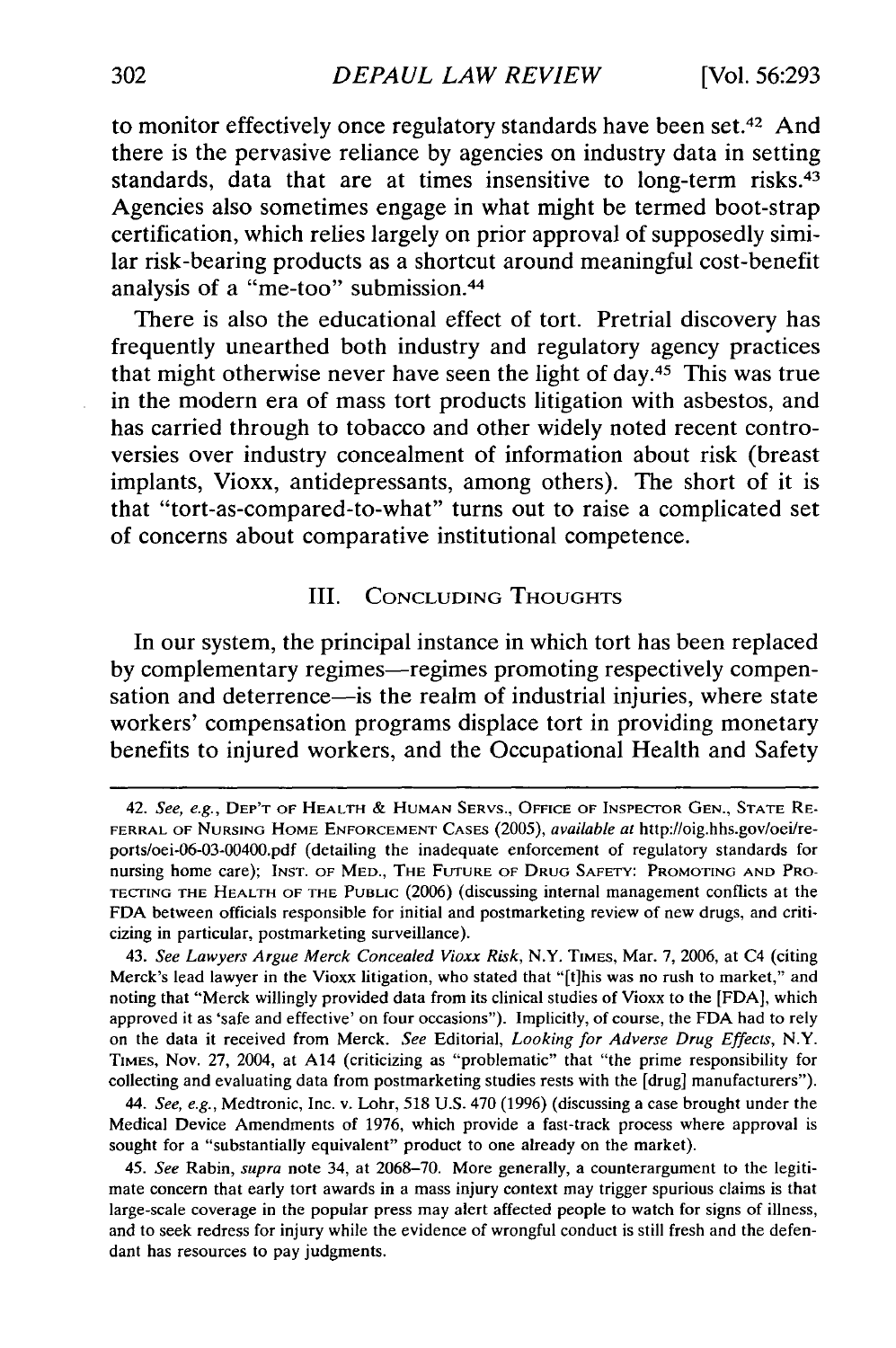to monitor effectively once regulatory standards have been set.<sup>42</sup> And there is the pervasive reliance **by** agencies on industry data in setting standards, data that are at times insensitive to long-term risks.<sup>43</sup> Agencies also sometimes engage in what might be termed boot-strap certification, which relies largely on prior approval of supposedly similar risk-bearing products as a shortcut around meaningful cost-benefit analysis of a "me-too" submission. <sup>44</sup>

There is also the educational effect of tort. Pretrial discovery has frequently unearthed both industry and regulatory agency practices that might otherwise never have seen the light of day. $45$  This was true in the modern era of mass tort products litigation with asbestos, and has carried through to tobacco and other widely noted recent controversies over industry concealment of information about risk (breast implants, Vioxx, antidepressants, among others). The short of it is that "tort-as-compared-to-what" turns out to raise a complicated set of concerns about comparative institutional competence.

#### III. **CONCLUDING THOUGHTS**

In our system, the principal instance in which tort has been replaced by complementary regimes—regimes promoting respectively compensation and deterrence—is the realm of industrial injuries, where state workers' compensation programs displace tort in providing monetary benefits to injured workers, and the Occupational Health and Safety

*44. See, e.g.,* Medtronic, Inc. v. Lohr, 518 U.S. 470 (1996) (discussing a case brought under the Medical Device Amendments of 1976, which provide a fast-track process where approval is sought for a "substantially equivalent" product to one already on the market).

45. *See* Rabin, *supra* note 34, at 2068-70. More generally, a counterargument to the legitimate concern that early tort awards in a mass injury context may trigger spurious claims is that large-scale coverage in the popular press may alert affected people to watch for signs of illness, and to seek redress for injury while the evidence of wrongful conduct is still fresh and the defendant has resources to pay judgments.

<sup>42.</sup> *See, e.g.,* DEP'T OF HEALTH **& HUMAN** SERVS., **OFFICE** OF INSPECTOR **GEN., STATE RE-**FERRAL OF NURSING HOME **ENFORCEMENT CASES** (2005), *available at* http://oig.hhs.gov/oei/reports/oei-06-03-00400.pdf (detailing the inadequate enforcement of regulatory standards for nursing home care); **INST.** OF MED., THE **FUTURE** OF DRUG SAFETY: PROMOTING **AND** PRO-TECTING THE HEALTH OF THE **PUBLIC** (2006) (discussing internal management conflicts at the FDA between officials responsible for initial and postmarketing review of new drugs, and criticizing in particular, postmarketing surveillance).

<sup>43.</sup> *See Lawyers Argue Merck Concealed Vioxx Risk,* N.Y. TIMES, Mar. 7, 2006, at C4 (citing Merck's lead lawyer in the Vioxx litigation, who stated that "[tihis was no rush to market," and noting that "Merck willingly provided data from its clinical studies of Vioxx to the [FDA], which approved it as 'safe and effective' on four occasions"). Implicitly, of course, the FDA had to rely on the data it received from Merck. *See* Editorial, *Looking for Adverse Drug Effects,* N.Y. TIMES, Nov. 27, 2004, at A14 (criticizing as "problematic" that "the prime responsibility for collecting and evaluating data from postmarketing studies rests with the [drug] manufacturers").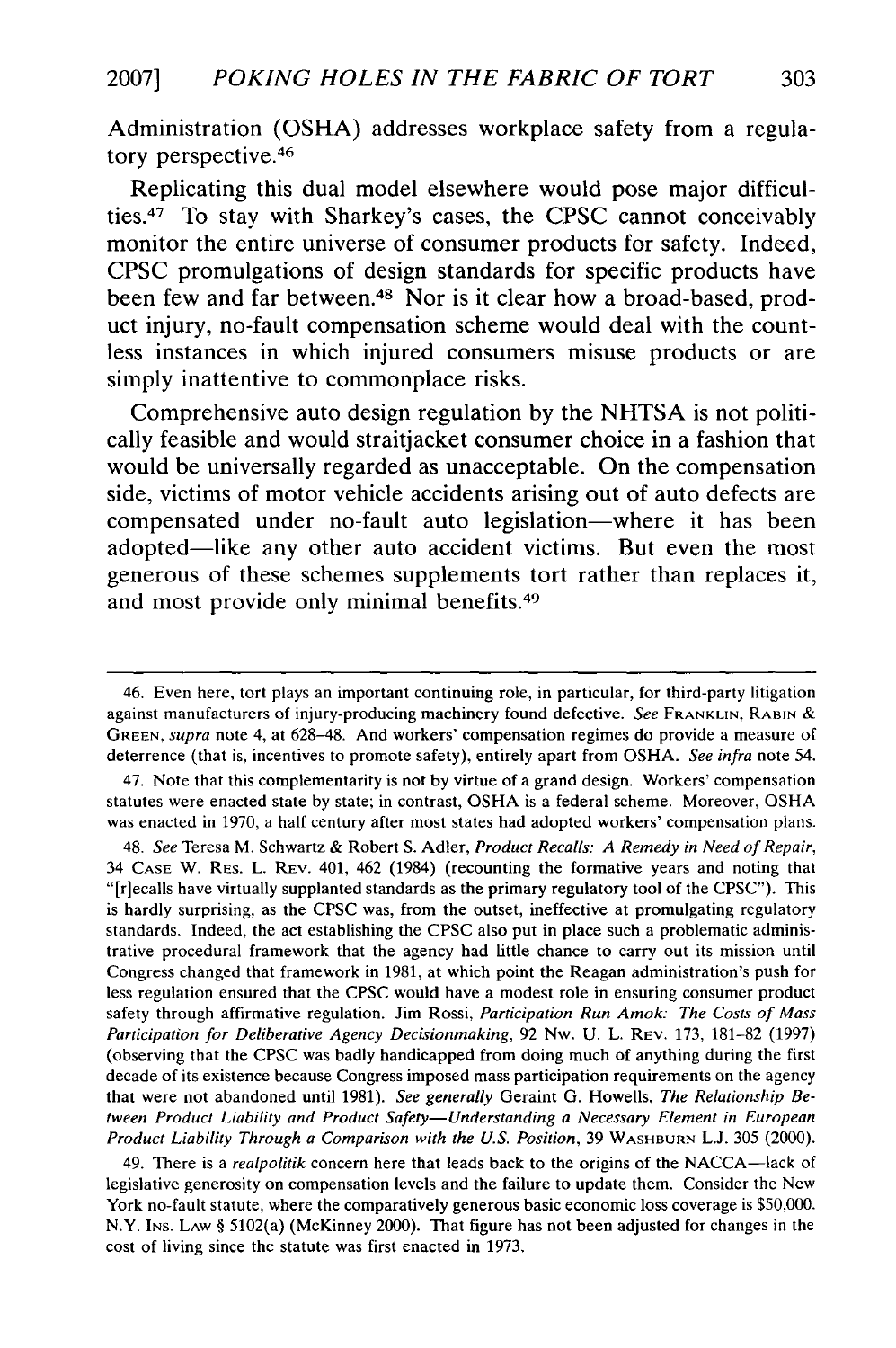Administration **(OSHA)** addresses workplace safety from a regulatory perspective. <sup>46</sup>

Replicating this dual model elsewhere would pose major difficulties.47 To stay with Sharkey's cases, the **CPSC** cannot conceivably monitor the entire universe of consumer products for safety. Indeed, **CPSC** promulgations of design standards for specific products have been few and far between.<sup>48</sup> Nor is it clear how a broad-based, product injury, no-fault compensation scheme would deal with the countless instances in which injured consumers misuse products or are simply inattentive to commonplace risks.

Comprehensive auto design regulation **by** the **NHTSA** is not politically feasible and would straitjacket consumer choice in a fashion that would be universally regarded as unacceptable. On the compensation side, victims of motor vehicle accidents arising out of auto defects are compensated under no-fault auto legislation-where it has been adopted-like any other auto accident victims. But even the most generous of these schemes supplements tort rather than replaces it, and most provide only minimal benefits.<sup>49</sup>

47. Note that this complementarity is not **by** virtue of a grand design. Workers' compensation statutes were enacted state by state; in contrast, OSHA is a federal scheme. Moreover, OSHA was enacted in 1970, a half century after most states had adopted workers' compensation plans.

48. *See* Teresa M. Schwartz & Robert **S.** Adler, *Product Recalls: A Remedy in Need of Repair,* 34 **CASE** W. RES. L. REV. 401, 462 (1984) (recounting the formative years and noting that "[r]ecalls have virtually supplanted standards as the primary regulatory tool of the CPSC"). This is hardly surprising, as the CPSC was, from the outset, ineffective at promulgating regulatory standards. Indeed, the act establishing the CPSC also put in place such a problematic administrative procedural framework that the agency had little chance to carry **out** its mission until Congress changed that framework in 1981, at which point the Reagan administration's push for less regulation ensured that the CPSC would have a modest role in ensuring consumer product safety through affirmative regulation. Jim Rossi, *Participation Run Amok: The Costs of Mass Participation for Deliberative Agency Decisionmaking,* 92 Nw. U. L. REV. 173, 181-82 (1997) (observing that the CPSC was badly handicapped from doing much of anything during the first decade of its existence because Congress imposed mass participation requirements on the agency that were not abandoned until 1981). *See generally* Geraint G. Howells, *The Relationship Between Product Liability and Product Safety-Understanding a Necessary Element in European Product Liability Through a Comparison with the U.S. Position,* 39 WASHBURN L.J. 305 (2000).

49. There is a *realpolitik* concern here that leads back to the origins of the NACCA—lack of legislative generosity on compensation levels and the failure to update them. Consider the New York no-fault statute, where the comparatively generous basic economic loss coverage is \$50,000. N.Y. Ins. Law § 5102(a) (McKinney 2000). That figure has not been adjusted for changes in the cost of living since the statute was first enacted in 1973.

<sup>46.</sup> Even here, tort plays an important continuing role, in particular, for third-party litigation against manufacturers of injury-producing machinery found defective. *See* FRANKLIN, RABIN & **GREEN,** *supra* note 4, at 628-48. And workers' compensation regimes do provide a measure of deterrence (that is, incentives to promote safety), entirely apart from OSHA. *See infra* note 54.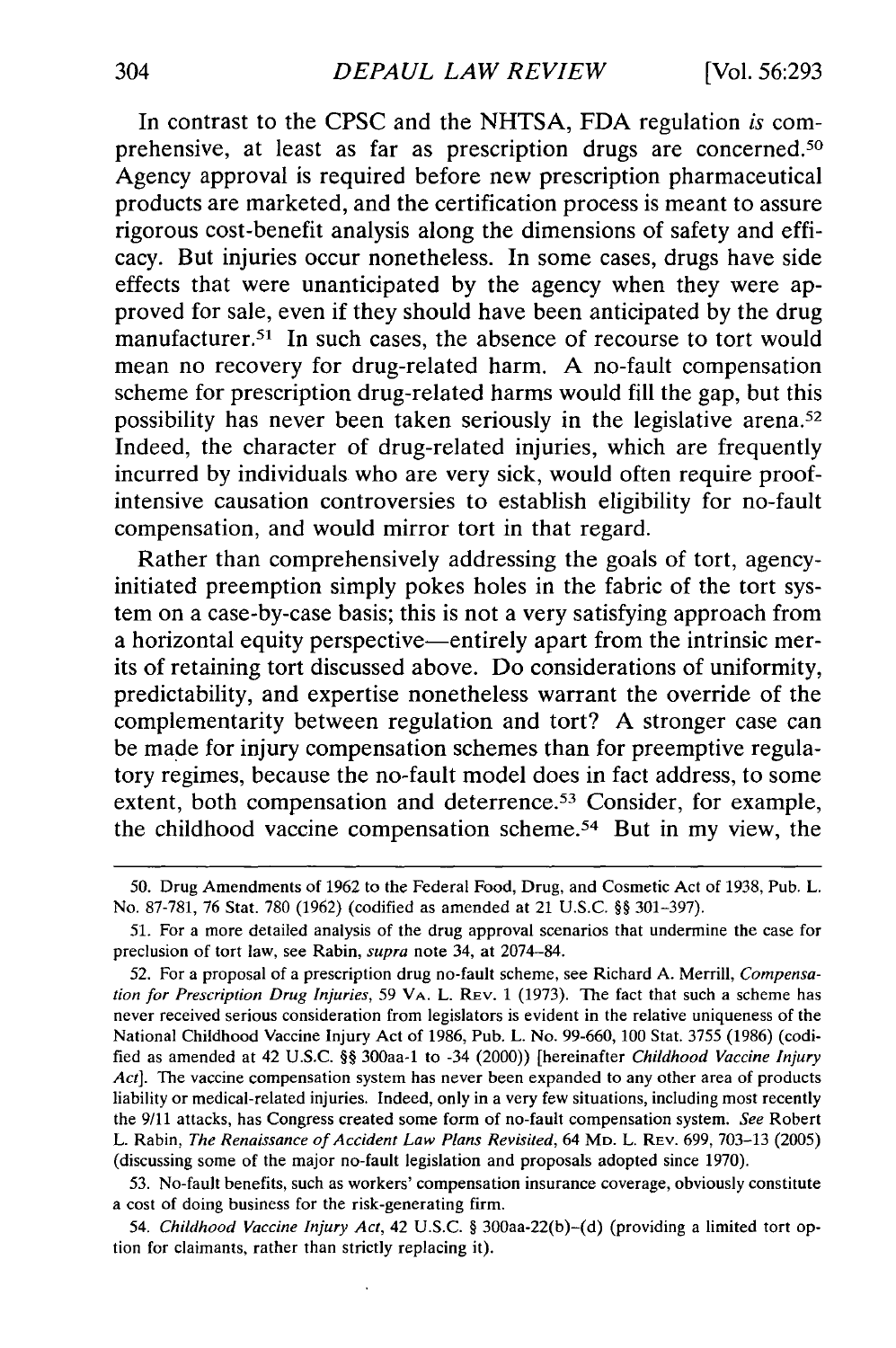In contrast to the CPSC and the NHTSA, FDA regulation *is* comprehensive, at least as far as prescription drugs are concerned.<sup>50</sup> Agency approval is required before new prescription pharmaceutical products are marketed, and the certification process is meant to assure rigorous cost-benefit analysis along the dimensions of safety and efficacy. But injuries occur nonetheless. In some cases, drugs have side effects that were unanticipated by the agency when they were approved for sale, even if they should have been anticipated by the drug manufacturer.<sup>51</sup> In such cases, the absence of recourse to tort would mean no recovery for drug-related harm. A no-fault compensation scheme for prescription drug-related harms would fill the gap, but this possibility has never been taken seriously in the legislative arena.<sup>52</sup> Indeed, the character of drug-related injuries, which are frequently incurred by individuals who are very sick, would often require proofintensive causation controversies to establish eligibility for no-fault compensation, and would mirror tort in that regard.

Rather than comprehensively addressing the goals of tort, agencyinitiated preemption simply pokes holes in the fabric of the tort system on a case-by-case basis; this is not a very satisfying approach from a horizontal equity perspective—entirely apart from the intrinsic merits of retaining tort discussed above. Do considerations of uniformity, predictability, and expertise nonetheless warrant the override of the complementarity between regulation and tort? A stronger case can be made for injury compensation schemes than for preemptive regulatory regimes, because the no-fault model does in fact address, to some extent, both compensation and deterrence.<sup>53</sup> Consider, for example, the childhood vaccine compensation scheme. 54 But in my view, the

54. *Childhood Vaccine Injury Act,* 42 U.S.C. § 300aa-22(b)-(d) (providing a limited tort option for claimants, rather than strictly replacing it).

<sup>50.</sup> Drug Amendments of 1962 to the Federal Food, Drug, and Cosmetic Act of 1938, Pub. L. No. 87-781, 76 Stat. 780 (1962) (codified as amended at 21 U.S.C. §§ 301-397).

<sup>51.</sup> For a more detailed analysis of the drug approval scenarios that undermine the case for preclusion of tort law, see Rabin, *supra* note 34, at 2074-84.

<sup>52.</sup> For a proposal of a prescription drug no-fault scheme, see Richard A. Merrill, *Compensation for Prescription Drug Injuries,* 59 VA. L. REv. 1 (1973). The fact that such a scheme has never received serious consideration from legislators is evident in the relative uniqueness of the National Childhood Vaccine Injury Act of 1986, Pub. L. No. 99-660, 100 Stat. 3755 (1986) (codified as amended at 42 U.S.C. §§ 300aa-1 to -34 (2000)) [hereinafter *Childhood Vaccine Injury Act].* The vaccine compensation system has never been expanded to any other area of products liability or medical-related injuries. Indeed, only in a very few situations, including most recently the 9/11 attacks, has Congress created some form of no-fault compensation system. *See* Robert L. Rabin, *The Renaissance of Accident Law Plans Revisited,* 64 **MD.** L. REv. 699, 703-13 (2005) (discussing some of the major no-fault legislation and proposals adopted since 1970).

<sup>53.</sup> No-fault benefits, such as workers' compensation insurance coverage, obviously constitute a cost of doing business for the risk-generating firm.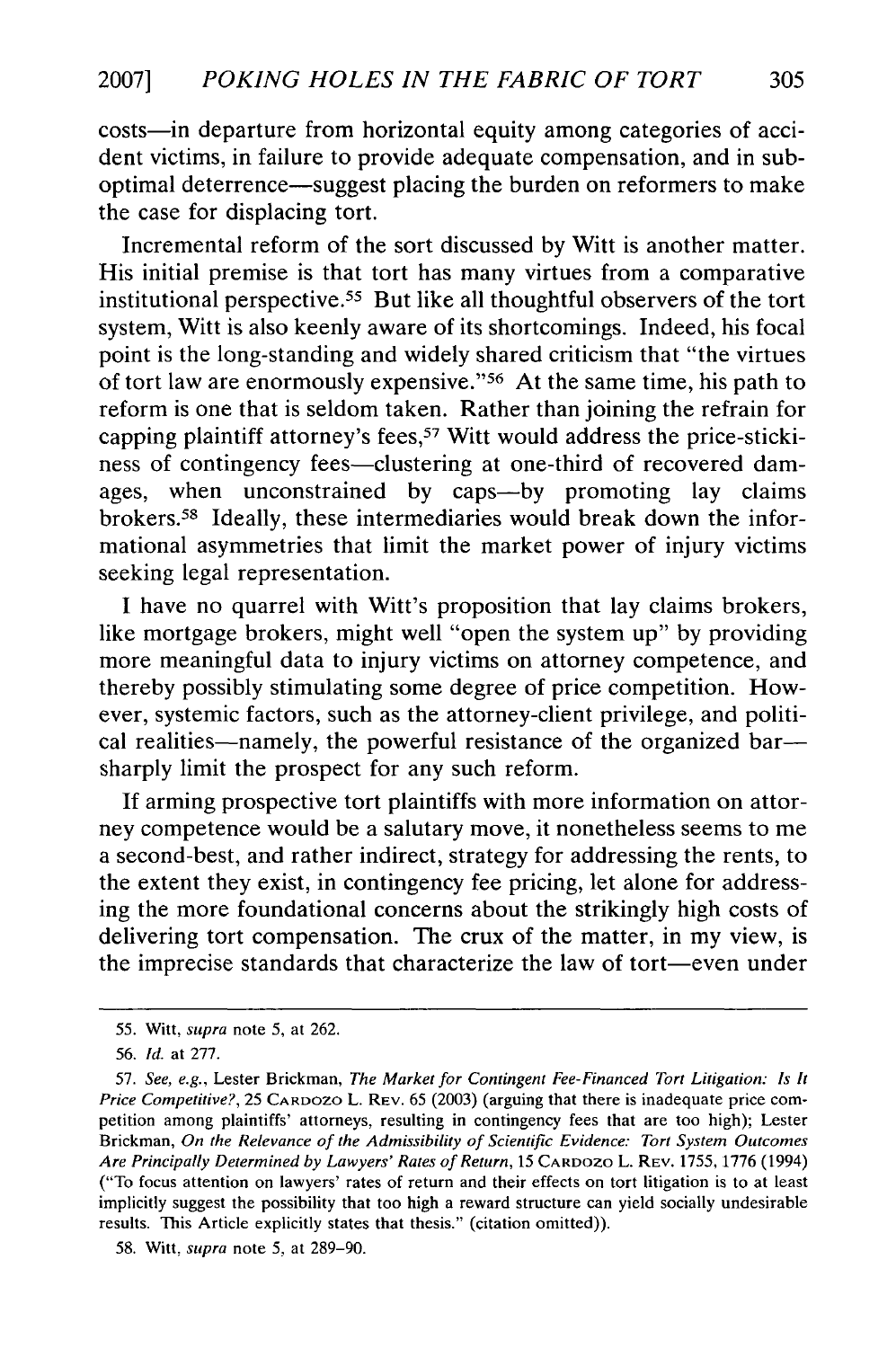costs-in departure from horizontal equity among categories of accident victims, in failure to provide adequate compensation, and in suboptimal deterrence-suggest placing the burden on reformers to make the case for displacing tort.

Incremental reform of the sort discussed by Witt is another matter. His initial premise is that tort has many virtues from a comparative institutional perspective. 55 But like all thoughtful observers of the tort system, Witt is also keenly aware of its shortcomings. Indeed, his focal point is the long-standing and widely shared criticism that "the virtues of tort law are enormously expensive." 56 At the same time, his path to reform is one that is seldom taken. Rather than joining the refrain for capping plaintiff attorney's fees,<sup>57</sup> Witt would address the price-stickiness of contingency fees—clustering at one-third of recovered damages, when unconstrained by caps-by promoting lay claims brokers.58 Ideally, these intermediaries would break down the informational asymmetries that limit the market power of injury victims seeking legal representation.

I have no quarrel with Witt's proposition that lay claims brokers, like mortgage brokers, might well "open the system up" by providing more meaningful data to injury victims on attorney competence, and thereby possibly stimulating some degree of price competition. However, systemic factors, such as the attorney-client privilege, and political realities--namely, the powerful resistance of the organized bar-sharply limit the prospect for any such reform.

If arming prospective tort plaintiffs with more information on attorney competence would be a salutary move, it nonetheless seems to me a second-best, and rather indirect, strategy for addressing the rents, to the extent they exist, in contingency fee pricing, let alone for addressing the more foundational concerns about the strikingly high costs of delivering tort compensation. The crux of the matter, in my view, is the imprecise standards that characterize the law of tort-even under

<sup>55.</sup> Witt, supra note 5, at 262.

<sup>56.</sup> *Id.* at 277.

<sup>57.</sup> *See, e.g.,* Lester Brickman, *The Market for Contingent Fee-Financed Tort Litigation: Is It Price Competitive?,* 25 CARDOZO L. REV. 65 (2003) (arguing that there is inadequate price competition among plaintiffs' attorneys, resulting in contingency fees that are too high); Lester Brickman, *On the Relevance of the Admissibility of Scientific Evidence: Tort System Outcomes Are Principally Determined by Lawyers' Rates of Return,* 15 CARDOZO L. REV. 1755, 1776 (1994) ("To focus attention on lawyers' rates of return and their effects on tort litigation is to at least implicitly suggest the possibility that too high a reward structure can yield socially undesirable results. This Article explicitly states that thesis." (citation omitted)).

<sup>58.</sup> Witt, *supra* note 5, at 289-90.